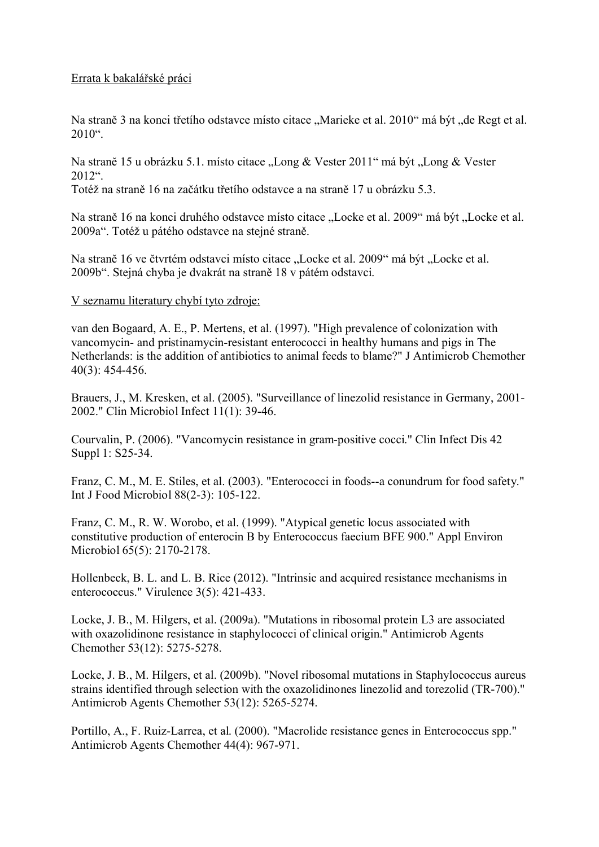## Errata k bakalářské práci

Na straně 3 na konci třetího odstavce místo citace "Marieke et al. 2010" má být "de Regt et al.  $2010^{\circ}$ .

Na straně 15 u obrázku 5.1. místo citace "Long & Vester 2011" má být "Long & Vester  $2012$ ".

Totéž na straně 16 na začátku třetího odstavce a na straně 17 u obrázku 5.3.

Na straně 16 na konci druhého odstavce místo citace "Locke et al. 2009" má být "Locke et al. 2009a". Totéž u pátého odstavce na stejné straně.

Na straně 16 ve čtvrtém odstavci místo citace "Locke et al. 2009" má být "Locke et al. 2009b". Stejná chyba je dvakrát na straně 18 v pátém odstavci.

## V seznamu literatury chybí tyto zdroje:

van den Bogaard, A. E., P. Mertens, et al. (1997). "High prevalence of colonization with vancomycin- and pristinamycin-resistant enterococci in healthy humans and pigs in The Netherlands: is the addition of antibiotics to animal feeds to blame?" J Antimicrob Chemother 40(3): 454-456.

Brauers, J., M. Kresken, et al. (2005). "Surveillance of linezolid resistance in Germany, 2001- 2002." Clin Microbiol Infect 11(1): 39-46.

Courvalin, P. (2006). "Vancomycin resistance in gram-positive cocci." Clin Infect Dis 42 Suppl 1: S25-34.

Franz, C. M., M. E. Stiles, et al. (2003). "Enterococci in foods--a conundrum for food safety." Int J Food Microbiol 88(2-3): 105-122.

Franz, C. M., R. W. Worobo, et al. (1999). "Atypical genetic locus associated with constitutive production of enterocin B by Enterococcus faecium BFE 900." Appl Environ Microbiol 65(5): 2170-2178.

Hollenbeck, B. L. and L. B. Rice (2012). "Intrinsic and acquired resistance mechanisms in enterococcus." Virulence 3(5): 421-433.

Locke, J. B., M. Hilgers, et al. (2009a). "Mutations in ribosomal protein L3 are associated with oxazolidinone resistance in staphylococci of clinical origin." Antimicrob Agents Chemother 53(12): 5275-5278.

Locke, J. B., M. Hilgers, et al. (2009b). "Novel ribosomal mutations in Staphylococcus aureus strains identified through selection with the oxazolidinones linezolid and torezolid (TR-700)." Antimicrob Agents Chemother 53(12): 5265-5274.

Portillo, A., F. Ruiz-Larrea, et al. (2000). "Macrolide resistance genes in Enterococcus spp." Antimicrob Agents Chemother 44(4): 967-971.